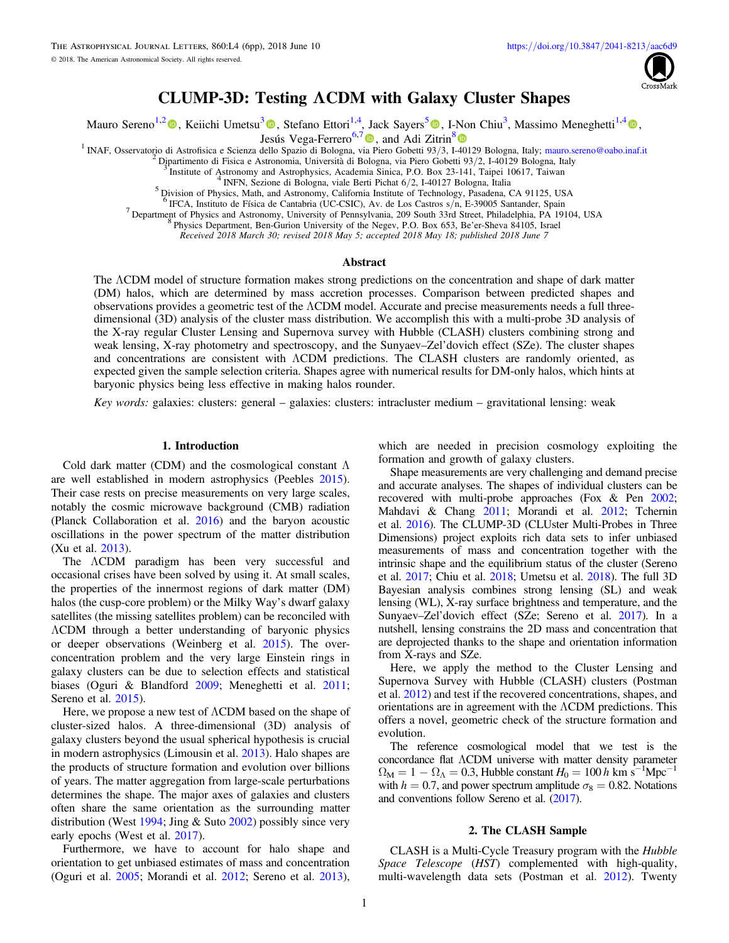

# CLUMP-3D: Testing ΛCDM with Galaxy Cluster Shapes

Mauro Sereno<sup>1,[2](https://orcid.org/0000-0003-0302-0325)</sup> (D[,](https://orcid.org/0000-0003-1225-7084) Keiichi Umetsu<sup>[3](https://orcid.org/0000-0002-7196-4822)</sup> (D, Stefano Ettori<sup>1,4</sup>, Jack Sayers<sup>[5](https://orcid.org/0000-0002-8213-3784)</sup> (D, I-Non Chiu<sup>3</sup>, Massimo Meneghetti<sup>1,[4](https://orcid.org/0000-0003-1225-7084)</sup> (D,

Jesús Vega-Ferrero<sup>6,[7](https://orcid.org/0000-0003-2338-5567)</sup>  $\bullet$ , and Adi Zitrin<sup>[8](https://orcid.org/0000-0002-0350-4488)</sup>  $\bullet$ 

<sup>1</sup> INAF, Osservatorio di Astrofisica e Scienza dello Spazio di Bologna, v[ia](https://orcid.org/0000-0003-2338-5567) [P](https://orcid.org/0000-0003-2338-5567)iero Gobetti 93/3, I[-401](https://orcid.org/0000-0002-0350-4488)29 Bologna, Italy; [mauro.sereno@oabo.inaf.it](mailto:mauro.sereno@oabo.inaf.it)<br>
<sup>2</sup> Dipartimento di Fisica e Astronomia, Università di Bologna, via Piero

<sup>7</sup> Department of Physics and Astronomy, University of Pennsylvania, 209 South 33rd Street, Philadelphia, PA 19104, USA  $8$  Physics Department, Ben-Gurion University of the Negev, P.O. Box 653, Be'er-Sheva 84105, Israel

Received 2018 March 30; revised 2018 May 5; accepted 2018 May 18; published 2018 June 7

#### **Abstract**

The ΛCDM model of structure formation makes strong predictions on the concentration and shape of dark matter (DM) halos, which are determined by mass accretion processes. Comparison between predicted shapes and observations provides a geometric test of the ΛCDM model. Accurate and precise measurements needs a full threedimensional (3D) analysis of the cluster mass distribution. We accomplish this with a multi-probe 3D analysis of the X-ray regular Cluster Lensing and Supernova survey with Hubble (CLASH) clusters combining strong and weak lensing, X-ray photometry and spectroscopy, and the Sunyaev–Zel'dovich effect (SZe). The cluster shapes and concentrations are consistent with ΛCDM predictions. The CLASH clusters are randomly oriented, as expected given the sample selection criteria. Shapes agree with numerical results for DM-only halos, which hints at baryonic physics being less effective in making halos rounder.

Key words: galaxies: clusters: general – galaxies: clusters: intracluster medium – gravitational lensing: weak

## 1. Introduction

Cold dark matter (CDM) and the cosmological constant  $\Lambda$ are well established in modern astrophysics (Peebles [2015](#page-5-0)). Their case rests on precise measurements on very large scales, notably the cosmic microwave background (CMB) radiation (Planck Collaboration et al. [2016](#page-5-0)) and the baryon acoustic oscillations in the power spectrum of the matter distribution (Xu et al. [2013](#page-5-0)).

The ΛCDM paradigm has been very successful and occasional crises have been solved by using it. At small scales, the properties of the innermost regions of dark matter (DM) halos (the cusp-core problem) or the Milky Way's dwarf galaxy satellites (the missing satellites problem) can be reconciled with ΛCDM through a better understanding of baryonic physics or deeper observations (Weinberg et al. [2015](#page-5-0)). The overconcentration problem and the very large Einstein rings in galaxy clusters can be due to selection effects and statistical biases (Oguri & Blandford [2009](#page-5-0); Meneghetti et al. [2011](#page-5-0); Sereno et al. [2015](#page-5-0)).

Here, we propose a new test of ΛCDM based on the shape of cluster-sized halos. A three-dimensional (3D) analysis of galaxy clusters beyond the usual spherical hypothesis is crucial in modern astrophysics (Limousin et al. [2013](#page-5-0)). Halo shapes are the products of structure formation and evolution over billions of years. The matter aggregation from large-scale perturbations determines the shape. The major axes of galaxies and clusters often share the same orientation as the surrounding matter distribution (West [1994;](#page-5-0) Jing  $&$  Suto [2002](#page-5-0)) possibly since very early epochs (West et al. [2017](#page-5-0)).

Furthermore, we have to account for halo shape and orientation to get unbiased estimates of mass and concentration (Oguri et al. [2005](#page-5-0); Morandi et al. [2012](#page-5-0); Sereno et al. [2013](#page-5-0)), which are needed in precision cosmology exploiting the formation and growth of galaxy clusters.

Shape measurements are very challenging and demand precise and accurate analyses. The shapes of individual clusters can be recovered with multi-probe approaches (Fox & Pen [2002](#page-5-0); Mahdavi & Chang [2011;](#page-5-0) Morandi et al. [2012;](#page-5-0) Tchernin et al. [2016](#page-5-0)). The CLUMP-3D (CLUster Multi-Probes in Three Dimensions) project exploits rich data sets to infer unbiased measurements of mass and concentration together with the intrinsic shape and the equilibrium status of the cluster (Sereno et al. [2017](#page-5-0); Chiu et al. [2018](#page-5-0); Umetsu et al. [2018](#page-5-0)). The full 3D Bayesian analysis combines strong lensing (SL) and weak lensing (WL), X-ray surface brightness and temperature, and the Sunyaev–Zel'dovich effect (SZe; Sereno et al. [2017](#page-5-0)). In a nutshell, lensing constrains the 2D mass and concentration that are deprojected thanks to the shape and orientation information from X-rays and SZe.

Here, we apply the method to the Cluster Lensing and Supernova Survey with Hubble (CLASH) clusters (Postman et al. [2012](#page-5-0)) and test if the recovered concentrations, shapes, and orientations are in agreement with the ΛCDM predictions. This offers a novel, geometric check of the structure formation and evolution.

The reference cosmological model that we test is the concordance flat ΛCDM universe with matter density parameter  $\Omega_M = 1 - \Omega_{\Lambda} = 0.3$ , Hubble constant  $H_0 = 100 h \text{ km s}^{-1} \text{Mpc}^{-1}$ with  $h = 0.7$ , and power spectrum amplitude  $\sigma_8 = 0.82$ . Notations and conventions follow Sereno et al. ([2017](#page-5-0)).

## 2. The CLASH Sample

CLASH is a Multi-Cycle Treasury program with the Hubble Space Telescope (HST) complemented with high-quality, multi-wavelength data sets (Postman et al. [2012](#page-5-0)). Twenty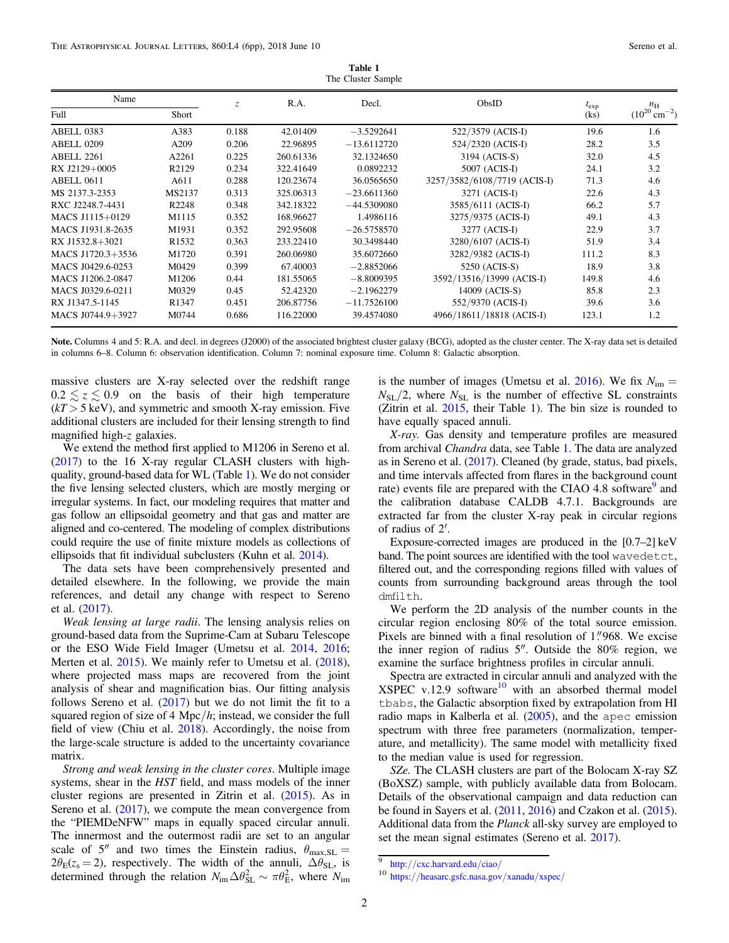| Name              |                    | $\mathcal{Z}$ | R.A.      | Decl.         | ObsID                        | $t_{\exp}$ | $n_{\rm H}$                 |
|-------------------|--------------------|---------------|-----------|---------------|------------------------------|------------|-----------------------------|
| Full              | Short              |               |           |               |                              | (ks)       | $(10^{20} \text{ cm}^{-2})$ |
| ABELL 0383        | A383               | 0.188         | 42.01409  | $-3.5292641$  | 522/3579 (ACIS-I)            | 19.6       | 1.6                         |
| ABELL 0209        | A209               | 0.206         | 22.96895  | $-13.6112720$ | 524/2320 (ACIS-I)            | 28.2       | 3.5                         |
| ABELL 2261        | A2261              | 0.225         | 260.61336 | 32.1324650    | 3194 (ACIS-S)                | 32.0       | 4.5                         |
| RX J2129+0005     | R <sub>2</sub> 129 | 0.234         | 322.41649 | 0.0892232     | 5007 (ACIS-I)                | 24.1       | 3.2                         |
| ABELL 0611        | A611               | 0.288         | 120.23674 | 36.0565650    | 3257/3582/6108/7719 (ACIS-I) | 71.3       | 4.6                         |
| MS 2137.3-2353    | MS2137             | 0.313         | 325.06313 | $-23.6611360$ | 3271 (ACIS-I)                | 22.6       | 4.3                         |
| RXC J2248.7-4431  | R <sub>2248</sub>  | 0.348         | 342.18322 | $-44.5309080$ | 3585/6111 (ACIS-I)           | 66.2       | 5.7                         |
| MACS J1115+0129   | M1115              | 0.352         | 168.96627 | 1.4986116     | 3275/9375 (ACIS-I)           | 49.1       | 4.3                         |
| MACS J1931.8-2635 | M1931              | 0.352         | 292.95608 | $-26.5758570$ | 3277 (ACIS-I)                | 22.9       | 3.7                         |
| RX J1532.8+3021   | R <sub>1532</sub>  | 0.363         | 233.22410 | 30.3498440    | 3280/6107 (ACIS-I)           | 51.9       | 3.4                         |
| MACS J1720.3+3536 | M1720              | 0.391         | 260.06980 | 35.6072660    | 3282/9382 (ACIS-I)           | 111.2      | 8.3                         |
| MACS J0429.6-0253 | M0429              | 0.399         | 67.40003  | $-2.8852066$  | 5250 (ACIS-S)                | 18.9       | 3.8                         |
| MACS J1206.2-0847 | M1206              | 0.44          | 181.55065 | $-8.8009395$  | 3592/13516/13999 (ACIS-I)    | 149.8      | 4.6                         |
| MACS J0329.6-0211 | M0329              | 0.45          | 52.42320  | $-2.1962279$  | 14009 (ACIS-S)               | 85.8       | 2.3                         |
| RX J1347.5-1145   | R <sub>1347</sub>  | 0.451         | 206.87756 | $-11.7526100$ | 552/9370 (ACIS-I)            | 39.6       | 3.6                         |
| MACS J0744.9+3927 | M0744              | 0.686         | 116.22000 | 39.4574080    | 4966/18611/18818 (ACIS-I)    | 123.1      | 1.2                         |

Table 1 The Cluster Sample

Note. Columns 4 and 5: R.A. and decl. in degrees (J2000) of the associated brightest cluster galaxy (BCG), adopted as the cluster center. The X-ray data set is detailed in columns 6–8. Column 6: observation identification. Column 7: nominal exposure time. Column 8: Galactic absorption.

massive clusters are X-ray selected over the redshift range  $0.2 \le z \le 0.9$  on the basis of their high temperature  $(kT > 5 \text{ keV})$ , and symmetric and smooth X-ray emission. Five additional clusters are included for their lensing strength to find magnified high-z galaxies.

We extend the method first applied to M1206 in Sereno et al. ([2017](#page-5-0)) to the 16 X-ray regular CLASH clusters with highquality, ground-based data for WL (Table 1). We do not consider the five lensing selected clusters, which are mostly merging or irregular systems. In fact, our modeling requires that matter and gas follow an ellipsoidal geometry and that gas and matter are aligned and co-centered. The modeling of complex distributions could require the use of finite mixture models as collections of ellipsoids that fit individual subclusters (Kuhn et al. [2014](#page-5-0)).

The data sets have been comprehensively presented and detailed elsewhere. In the following, we provide the main references, and detail any change with respect to Sereno et al. ([2017](#page-5-0)).

Weak lensing at large radii. The lensing analysis relies on ground-based data from the Suprime-Cam at Subaru Telescope or the ESO Wide Field Imager (Umetsu et al. [2014](#page-5-0), [2016](#page-5-0); Merten et al. [2015](#page-5-0)). We mainly refer to Umetsu et al. ([2018](#page-5-0)), where projected mass maps are recovered from the joint analysis of shear and magnification bias. Our fitting analysis follows Sereno et al.  $(2017)$  $(2017)$  $(2017)$  but we do not limit the fit to a squared region of size of 4 Mpc/ $h$ ; instead, we consider the full field of view (Chiu et al. [2018](#page-5-0)). Accordingly, the noise from the large-scale structure is added to the uncertainty covariance matrix.

Strong and weak lensing in the cluster cores. Multiple image systems, shear in the HST field, and mass models of the inner cluster regions are presented in Zitrin et al. ([2015](#page-5-0)). As in Sereno et al.  $(2017)$  $(2017)$  $(2017)$ , we compute the mean convergence from the "PIEMDeNFW" maps in equally spaced circular annuli. The innermost and the outermost radii are set to an angular scale of 5<sup>"</sup> and two times the Einstein radius,  $\theta_{\text{max,SL}} =$  $2\theta_{\rm E}(z_{\rm s}=2)$ , respectively. The width of the annuli,  $\Delta\theta_{\rm SL}$ , is determined through the relation  $N_{\rm im}\Delta\theta_{\rm SL}^2 \sim \pi\theta_{\rm E}^2$ , where  $N_{\rm im}$ 

is the number of images (Umetsu et al. [2016](#page-5-0)). We fix  $N_{\text{im}} =$  $N_{\text{SL}}/2$ , where  $N_{\text{SL}}$  is the number of effective SL constraints (Zitrin et al. [2015](#page-5-0), their Table 1). The bin size is rounded to have equally spaced annuli.

X-ray. Gas density and temperature profiles are measured from archival Chandra data, see Table 1. The data are analyzed as in Sereno et al. ([2017](#page-5-0)). Cleaned (by grade, status, bad pixels, and time intervals affected from flares in the background count rate) events file are prepared with the CIAO 4.8 software<sup>9</sup> and the calibration database CALDB 4.7.1. Backgrounds are extracted far from the cluster X-ray peak in circular regions of radius of 2′.

Exposure-corrected images are produced in the [0.7–2] keV band. The point sources are identified with the tool wavedetct, filtered out, and the corresponding regions filled with values of counts from surrounding background areas through the tool dmfilth.

We perform the 2D analysis of the number counts in the circular region enclosing 80% of the total source emission. Pixels are binned with a final resolution of 1."968. We excise the inner region of radius 5″. Outside the 80% region, we examine the surface brightness profiles in circular annuli.

Spectra are extracted in circular annuli and analyzed with the  $XSPEC v.12.9 software<sup>10</sup> with an absorbed thermal model$ tbabs, the Galactic absorption fixed by extrapolation from HI radio maps in Kalberla et al. ([2005](#page-5-0)), and the apec emission spectrum with three free parameters (normalization, temperature, and metallicity). The same model with metallicity fixed to the median value is used for regression.

SZe. The CLASH clusters are part of the Bolocam X-ray SZ (BoXSZ) sample, with publicly available data from Bolocam. Details of the observational campaign and data reduction can be found in Sayers et al. ([2011,](#page-5-0) [2016](#page-5-0)) and Czakon et al. ([2015](#page-5-0)). Additional data from the Planck all-sky survey are employed to set the mean signal estimates (Sereno et al. [2017](#page-5-0)).

 $\frac{9}{10}$  http://[cxc.harvard.edu](http://cxc.harvard.edu/ciao/)/ciao/<br>10 https://[heasarc.gsfc.nasa.gov](https://heasarc.gsfc.nasa.gov/xanadu/xspec/)/xanadu/xspec/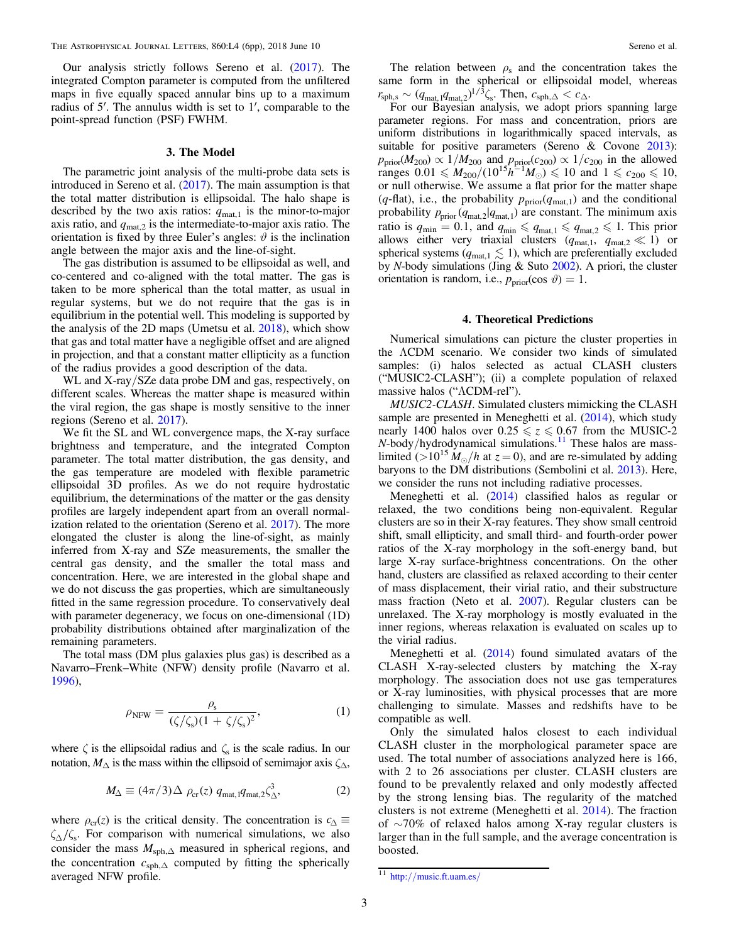Our analysis strictly follows Sereno et al. ([2017](#page-5-0)). The integrated Compton parameter is computed from the unfiltered maps in five equally spaced annular bins up to a maximum radius of 5′. The annulus width is set to 1′, comparable to the point-spread function (PSF) FWHM.

## 3. The Model

The parametric joint analysis of the multi-probe data sets is introduced in Sereno et al.  $(2017)$  $(2017)$  $(2017)$ . The main assumption is that the total matter distribution is ellipsoidal. The halo shape is described by the two axis ratios:  $q_{\text{mat,1}}$  is the minor-to-major axis ratio, and  $q_{\text{mat},2}$  is the intermediate-to-major axis ratio. The orientation is fixed by three Euler's angles:  $\vartheta$  is the inclination angle between the major axis and the line-of-sight.

The gas distribution is assumed to be ellipsoidal as well, and co-centered and co-aligned with the total matter. The gas is taken to be more spherical than the total matter, as usual in regular systems, but we do not require that the gas is in equilibrium in the potential well. This modeling is supported by the analysis of the 2D maps (Umetsu et al. [2018](#page-5-0)), which show that gas and total matter have a negligible offset and are aligned in projection, and that a constant matter ellipticity as a function of the radius provides a good description of the data.

WL and X-ray/SZe data probe DM and gas, respectively, on different scales. Whereas the matter shape is measured within the viral region, the gas shape is mostly sensitive to the inner regions (Sereno et al. [2017](#page-5-0)).

We fit the SL and WL convergence maps, the X-ray surface brightness and temperature, and the integrated Compton parameter. The total matter distribution, the gas density, and the gas temperature are modeled with flexible parametric ellipsoidal 3D profiles. As we do not require hydrostatic equilibrium, the determinations of the matter or the gas density profiles are largely independent apart from an overall normalization related to the orientation (Sereno et al. [2017](#page-5-0)). The more elongated the cluster is along the line-of-sight, as mainly inferred from X-ray and SZe measurements, the smaller the central gas density, and the smaller the total mass and concentration. Here, we are interested in the global shape and we do not discuss the gas properties, which are simultaneously fitted in the same regression procedure. To conservatively deal with parameter degeneracy, we focus on one-dimensional (1D) probability distributions obtained after marginalization of the remaining parameters.

The total mass (DM plus galaxies plus gas) is described as a Navarro–Frenk–White (NFW) density profile (Navarro et al. [1996](#page-5-0)),

$$
\rho_{\text{NFW}} = \frac{\rho_{\text{s}}}{(\zeta/\zeta_{\text{s}})(1 + \zeta/\zeta_{\text{s}})^2},\tag{1}
$$

where  $\zeta$  is the ellipsoidal radius and  $\zeta$  is the scale radius. In our notation,  $M_{\Delta}$  is the mass within the ellipsoid of semimajor axis  $\zeta_{\Delta}$ ,

$$
M_{\Delta} \equiv (4\pi/3)\Delta \rho_{cr}(z) q_{\text{mat},1} q_{\text{mat},2} \zeta_{\Delta}^3, \tag{2}
$$

where  $\rho_{cr}(z)$  is the critical density. The concentration is  $c_{\Lambda} \equiv$  $\zeta_{\Lambda}/\zeta_{s}$ . For comparison with numerical simulations, we also consider the mass  $M_{\text{sph},\Delta}$  measured in spherical regions, and the concentration  $c_{\text{sph},\Delta}$  computed by fitting the spherically averaged NFW profile.

The relation between  $\rho_s$  and the concentration takes the same form in the spherical or ellipsoidal model, whereas  $r_{\rm sph,s} \sim (q_{\rm mat,1} q_{\rm mat,2})^{1/\bar{3}} \zeta_{\rm s}$ . Then,  $c_{\rm sph,\Delta} < c_{\Delta}$ .

For our Bayesian analysis, we adopt priors spanning large parameter regions. For mass and concentration, priors are uniform distributions in logarithmically spaced intervals, as suitable for positive parameters (Sereno & Covone [2013](#page-5-0)):  $p_{\text{prior}}(M_{200}) \propto 1/M_{200}$  and  $p_{\text{prior}}(c_{200}) \propto 1/c_{200}$  in the allowed ranges  $0.01 \leq M_{200}/(10^{15}h^{-1}M_{\odot}) \leq 10$  and  $1 \leq c_{200} \leq 10$ , or null otherwise. We assume a flat prior for the matter shape (q-flat), i.e., the probability  $p_{\text{prior}}(q_{\text{mat},1})$  and the conditional probability  $p_{\text{prior}}(q_{\text{mat},2} | q_{\text{mat},1})$  are constant. The minimum axis ratio is  $q_{\text{min}} = 0.1$ , and  $q_{\text{min}} \leqslant q_{\text{mat},1} \leqslant q_{\text{mat},2} \leqslant 1$ . This prior allows either very triaxial clusters  $(q_{\text{mat},1}, q_{\text{mat},2} \ll 1)$  or spherical systems ( $q_{\text{mat},1} \lesssim 1$ ), which are preferentially excluded by N-body simulations (Jing & Suto [2002](#page-5-0)). A priori, the cluster orientation is random, i.e.,  $p_{prior}(\cos \vartheta) = 1$ .

## 4. Theoretical Predictions

Numerical simulations can picture the cluster properties in the ΛCDM scenario. We consider two kinds of simulated samples: (i) halos selected as actual CLASH clusters ("MUSIC2-CLASH"); (ii) a complete population of relaxed massive halos ("ΛCDM-rel").

MUSIC2-CLASH. Simulated clusters mimicking the CLASH sample are presented in Meneghetti et al. ([2014](#page-5-0)), which study nearly 1400 halos over  $0.25 \le z \le 0.67$  from the MUSIC-2  $N$ -body/hydrodynamical simulations.<sup>11</sup> These halos are masslimited (>10<sup>15</sup>  $M_{\odot}/h$  at  $z = 0$ ), and are re-simulated by adding baryons to the DM distributions (Sembolini et al. [2013](#page-5-0)). Here, we consider the runs not including radiative processes.

Meneghetti et al. ([2014](#page-5-0)) classified halos as regular or relaxed, the two conditions being non-equivalent. Regular clusters are so in their X-ray features. They show small centroid shift, small ellipticity, and small third- and fourth-order power ratios of the X-ray morphology in the soft-energy band, but large X-ray surface-brightness concentrations. On the other hand, clusters are classified as relaxed according to their center of mass displacement, their virial ratio, and their substructure mass fraction (Neto et al. [2007](#page-5-0)). Regular clusters can be unrelaxed. The X-ray morphology is mostly evaluated in the inner regions, whereas relaxation is evaluated on scales up to the virial radius.

Meneghetti et al. ([2014](#page-5-0)) found simulated avatars of the CLASH X-ray-selected clusters by matching the X-ray morphology. The association does not use gas temperatures or X-ray luminosities, with physical processes that are more challenging to simulate. Masses and redshifts have to be compatible as well.

Only the simulated halos closest to each individual CLASH cluster in the morphological parameter space are used. The total number of associations analyzed here is 166, with 2 to 26 associations per cluster. CLASH clusters are found to be prevalently relaxed and only modestly affected by the strong lensing bias. The regularity of the matched clusters is not extreme (Meneghetti et al. [2014](#page-5-0)). The fraction of ∼70% of relaxed halos among X-ray regular clusters is larger than in the full sample, and the average concentration is boosted.

 $\frac{11 \text{ http://music.ft.uam.es/}}{11 \text{ http://music.ft.uam.es/}}$  $\frac{11 \text{ http://music.ft.uam.es/}}{11 \text{ http://music.ft.uam.es/}}$  $\frac{11 \text{ http://music.ft.uam.es/}}{11 \text{ http://music.ft.uam.es/}}$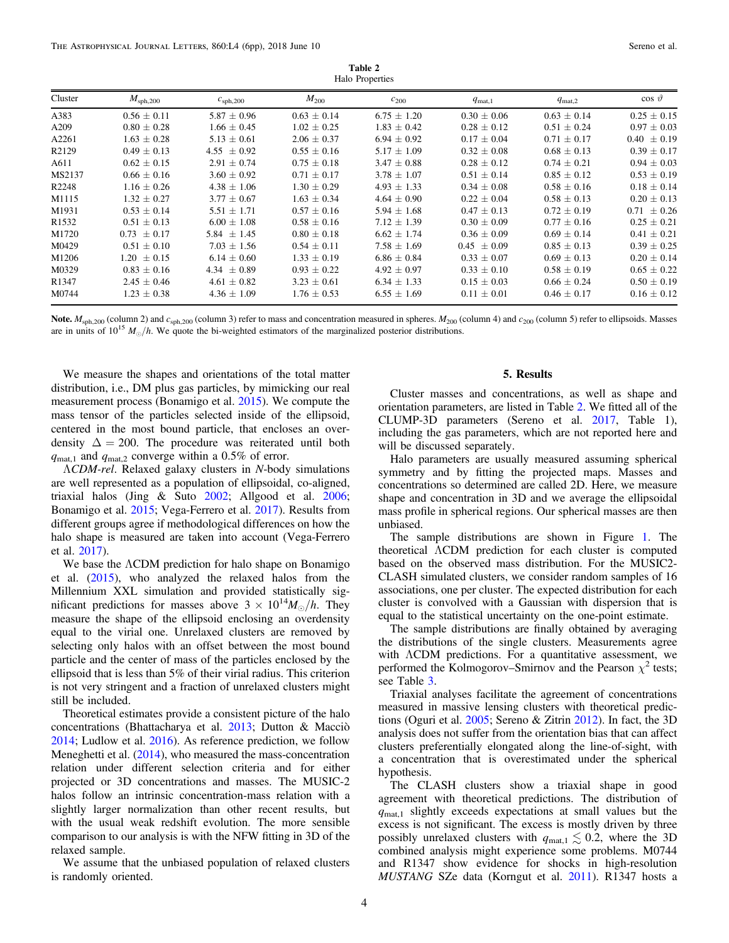| Cluster           | $M_{\rm sph,200}$ | $c_{\rm sph,200}$ | $M_{200}$       | $c_{200}$       | $q_{\text{mat},1}$ | $q_{\text{mat},2}$ | $\cos \vartheta$ |
|-------------------|-------------------|-------------------|-----------------|-----------------|--------------------|--------------------|------------------|
| A383              | $0.56 + 0.11$     | $5.87 \pm 0.96$   | $0.63 \pm 0.14$ | $6.75 + 1.20$   | $0.30 \pm 0.06$    | $0.63 \pm 0.14$    | $0.25 \pm 0.15$  |
| A209              | $0.80 \pm 0.28$   | $1.66 \pm 0.45$   | $1.02 \pm 0.25$ | $1.83 \pm 0.42$ | $0.28 \pm 0.12$    | $0.51 \pm 0.24$    | $0.97 \pm 0.03$  |
| A2261             | $1.63 \pm 0.28$   | $5.13 \pm 0.61$   | $2.06 \pm 0.37$ | $6.94 \pm 0.92$ | $0.17 \pm 0.04$    | $0.71 \pm 0.17$    | $0.40 \pm 0.19$  |
| R2129             | $0.49 \pm 0.13$   | $4.55 \pm 0.92$   | $0.55 \pm 0.16$ | $5.17 \pm 1.09$ | $0.32 \pm 0.08$    | $0.68 \pm 0.13$    | $0.39 \pm 0.17$  |
| A611              | $0.62 \pm 0.15$   | $2.91 \pm 0.74$   | $0.75 \pm 0.18$ | $3.47 \pm 0.88$ | $0.28 \pm 0.12$    | $0.74 \pm 0.21$    | $0.94 \pm 0.03$  |
| MS2137            | $0.66 \pm 0.16$   | $3.60 \pm 0.92$   | $0.71 \pm 0.17$ | $3.78 \pm 1.07$ | $0.51 \pm 0.14$    | $0.85 \pm 0.12$    | $0.53 \pm 0.19$  |
| R2248             | $1.16 \pm 0.26$   | $4.38 \pm 1.06$   | $1.30 \pm 0.29$ | $4.93 \pm 1.33$ | $0.34 \pm 0.08$    | $0.58 \pm 0.16$    | $0.18 \pm 0.14$  |
| M1115             | $1.32 \pm 0.27$   | $3.77 \pm 0.67$   | $1.63 \pm 0.34$ | $4.64 \pm 0.90$ | $0.22 \pm 0.04$    | $0.58 \pm 0.13$    | $0.20 \pm 0.13$  |
| M1931             | $0.53 \pm 0.14$   | $5.51 \pm 1.71$   | $0.57 \pm 0.16$ | $5.94 \pm 1.68$ | $0.47 \pm 0.13$    | $0.72 \pm 0.19$    | $0.71 \pm 0.26$  |
| R <sub>1532</sub> | $0.51 \pm 0.13$   | $6.00 \pm 1.08$   | $0.58 \pm 0.16$ | $7.12 \pm 1.39$ | $0.30 \pm 0.09$    | $0.77 \pm 0.16$    | $0.25 \pm 0.21$  |
| M1720             | $0.73 + 0.17$     | 5.84 $\pm$ 1.45   | $0.80 \pm 0.18$ | $6.62 + 1.74$   | $0.36 \pm 0.09$    | $0.69 \pm 0.14$    | $0.41 \pm 0.21$  |
| M0429             | $0.51 \pm 0.10$   | $7.03 \pm 1.56$   | $0.54 \pm 0.11$ | $7.58 \pm 1.69$ | $0.45 \pm 0.09$    | $0.85 \pm 0.13$    | $0.39 \pm 0.25$  |
| M1206             | $1.20 \pm 0.15$   | $6.14 \pm 0.60$   | $1.33 \pm 0.19$ | $6.86 \pm 0.84$ | $0.33 \pm 0.07$    | $0.69 \pm 0.13$    | $0.20 \pm 0.14$  |
| M0329             | $0.83 \pm 0.16$   | 4.34 $\pm$ 0.89   | $0.93 \pm 0.22$ | $4.92 \pm 0.97$ | $0.33 \pm 0.10$    | $0.58 \pm 0.19$    | $0.65 \pm 0.22$  |
| R <sub>1347</sub> | $2.45 \pm 0.46$   | $4.61 \pm 0.82$   | $3.23 \pm 0.61$ | $6.34 \pm 1.33$ | $0.15 \pm 0.03$    | $0.66 \pm 0.24$    | $0.50 \pm 0.19$  |
| M0744             | $1.23 \pm 0.38$   | $4.36 \pm 1.09$   | $1.76 \pm 0.53$ | $6.55 \pm 1.69$ | $0.11 \pm 0.01$    | $0.46 \pm 0.17$    | $0.16 \pm 0.12$  |
|                   |                   |                   |                 |                 |                    |                    |                  |

Table 2 Halo Properties

Note.  $M_{\text{sph},200}$  (column 2) and  $c_{\text{sph},200}$  (column 3) refer to mass and concentration measured in spheres.  $M_{200}$  (column 4) and  $c_{200}$  (column 5) refer to ellipsoids. Masses are in units of  $10^{15} M_{\odot}/h$ . We quote the bi-weighted estimators of the marginalized posterior distributions.

We measure the shapes and orientations of the total matter distribution, i.e., DM plus gas particles, by mimicking our real measurement process (Bonamigo et al. [2015](#page-5-0)). We compute the mass tensor of the particles selected inside of the ellipsoid, centered in the most bound particle, that encloses an overdensity  $\Delta = 200$ . The procedure was reiterated until both  $q_{\text{mat,1}}$  and  $q_{\text{mat,2}}$  converge within a 0.5% of error.

ΛCDM-rel. Relaxed galaxy clusters in N-body simulations are well represented as a population of ellipsoidal, co-aligned, triaxial halos (Jing & Suto [2002;](#page-5-0) Allgood et al. [2006](#page-5-0); Bonamigo et al. [2015;](#page-5-0) Vega-Ferrero et al. [2017](#page-5-0)). Results from different groups agree if methodological differences on how the halo shape is measured are taken into account (Vega-Ferrero et al. [2017](#page-5-0)).

We base the ΛCDM prediction for halo shape on Bonamigo et al. ([2015](#page-5-0)), who analyzed the relaxed halos from the Millennium XXL simulation and provided statistically significant predictions for masses above  $3 \times 10^{14} M_{\odot}/h$ . They measure the shape of the ellipsoid enclosing an overdensity equal to the virial one. Unrelaxed clusters are removed by selecting only halos with an offset between the most bound particle and the center of mass of the particles enclosed by the ellipsoid that is less than 5% of their virial radius. This criterion is not very stringent and a fraction of unrelaxed clusters might still be included.

Theoretical estimates provide a consistent picture of the halo concentrations (Bhattacharya et al. [2013;](#page-5-0) Dutton & Macciò [2014;](#page-5-0) Ludlow et al. [2016](#page-5-0)). As reference prediction, we follow Meneghetti et al. ([2014](#page-5-0)), who measured the mass-concentration relation under different selection criteria and for either projected or 3D concentrations and masses. The MUSIC-2 halos follow an intrinsic concentration-mass relation with a slightly larger normalization than other recent results, but with the usual weak redshift evolution. The more sensible comparison to our analysis is with the NFW fitting in 3D of the relaxed sample.

We assume that the unbiased population of relaxed clusters is randomly oriented.

## 5. Results

Cluster masses and concentrations, as well as shape and orientation parameters, are listed in Table 2. We fitted all of the CLUMP-3D parameters (Sereno et al. [2017](#page-5-0), Table 1), including the gas parameters, which are not reported here and will be discussed separately.

Halo parameters are usually measured assuming spherical symmetry and by fitting the projected maps. Masses and concentrations so determined are called 2D. Here, we measure shape and concentration in 3D and we average the ellipsoidal mass profile in spherical regions. Our spherical masses are then unbiased.

The sample distributions are shown in Figure [1](#page-4-0). The theoretical ΛCDM prediction for each cluster is computed based on the observed mass distribution. For the MUSIC2- CLASH simulated clusters, we consider random samples of 16 associations, one per cluster. The expected distribution for each cluster is convolved with a Gaussian with dispersion that is equal to the statistical uncertainty on the one-point estimate.

The sample distributions are finally obtained by averaging the distributions of the single clusters. Measurements agree with ΛCDM predictions. For a quantitative assessment, we performed the Kolmogorov–Smirnov and the Pearson  $\chi^2$  tests; see Table [3](#page-5-0).

Triaxial analyses facilitate the agreement of concentrations measured in massive lensing clusters with theoretical predictions (Oguri et al. [2005](#page-5-0); Sereno & Zitrin [2012](#page-5-0)). In fact, the 3D analysis does not suffer from the orientation bias that can affect clusters preferentially elongated along the line-of-sight, with a concentration that is overestimated under the spherical hypothesis.

The CLASH clusters show a triaxial shape in good agreement with theoretical predictions. The distribution of  $q_{\text{mat,1}}$  slightly exceeds expectations at small values but the excess is not significant. The excess is mostly driven by three possibly unrelaxed clusters with  $q_{\text{mat,1}} \lesssim 0.2$ , where the 3D combined analysis might experience some problems. M0744 and R1347 show evidence for shocks in high-resolution MUSTANG SZe data (Korngut et al. [2011](#page-5-0)). R1347 hosts a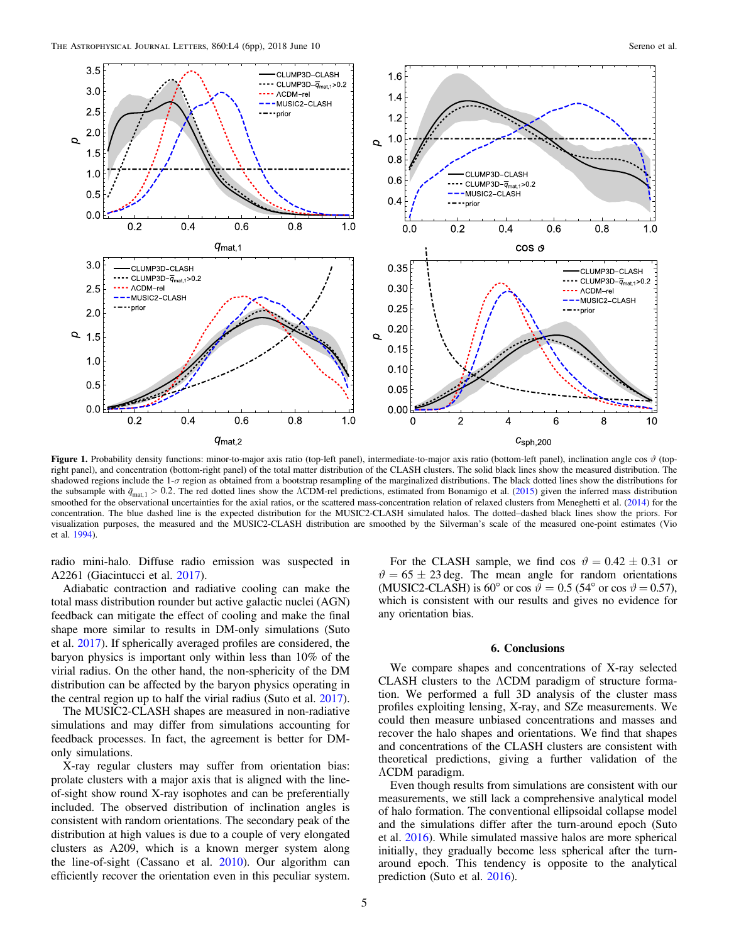<span id="page-4-0"></span>

Figure 1. Probability density functions: minor-to-major axis ratio (top-left panel), intermediate-to-major axis ratio (bottom-left panel), inclination angle cos  $\vartheta$  (topright panel), and concentration (bottom-right panel) of the total matter distribution of the CLASH clusters. The solid black lines show the measured distribution. The shadowed regions include the  $1-\sigma$  region as obtained from a bootstrap resampling of the marginalized distributions. The black dotted lines show the distributions for the subsample with  $\bar{q}_{\text{mat},1} > 0.2$ . The red dotted lines show the ΛCDM-rel predictions, estimated from Bonamigo et al. ([2015](#page-5-0)) given the inferred mass distribution smoothed for the observational uncertainties for the axial ratios, or the scattered mass-concentration relation of relaxed clusters from Meneghetti et al. ([2014](#page-5-0)) for the concentration. The blue dashed line is the expected distribution for the MUSIC2-CLASH simulated halos. The dotted–dashed black lines show the priors. For visualization purposes, the measured and the MUSIC2-CLASH distribution are smoothed by the Silverman's scale of the measured one-point estimates (Vio et al. [1994](#page-5-0)).

radio mini-halo. Diffuse radio emission was suspected in A2261 (Giacintucci et al. [2017](#page-5-0)).

Adiabatic contraction and radiative cooling can make the total mass distribution rounder but active galactic nuclei (AGN) feedback can mitigate the effect of cooling and make the final shape more similar to results in DM-only simulations (Suto et al. [2017](#page-5-0)). If spherically averaged profiles are considered, the baryon physics is important only within less than 10% of the virial radius. On the other hand, the non-sphericity of the DM distribution can be affected by the baryon physics operating in the central region up to half the virial radius (Suto et al. [2017](#page-5-0)).

The MUSIC2-CLASH shapes are measured in non-radiative simulations and may differ from simulations accounting for feedback processes. In fact, the agreement is better for DMonly simulations.

X-ray regular clusters may suffer from orientation bias: prolate clusters with a major axis that is aligned with the lineof-sight show round X-ray isophotes and can be preferentially included. The observed distribution of inclination angles is consistent with random orientations. The secondary peak of the distribution at high values is due to a couple of very elongated clusters as A209, which is a known merger system along the line-of-sight (Cassano et al. [2010](#page-5-0)). Our algorithm can efficiently recover the orientation even in this peculiar system.

For the CLASH sample, we find cos  $\vartheta = 0.42 \pm 0.31$  or  $\vartheta = 65 \pm 23$  deg. The mean angle for random orientations (MUSIC2-CLASH) is 60° or cos  $\vartheta = 0.5$  (54° or cos  $\vartheta = 0.57$ ), which is consistent with our results and gives no evidence for any orientation bias.

#### 6. Conclusions

We compare shapes and concentrations of X-ray selected CLASH clusters to the ΛCDM paradigm of structure formation. We performed a full 3D analysis of the cluster mass profiles exploiting lensing, X-ray, and SZe measurements. We could then measure unbiased concentrations and masses and recover the halo shapes and orientations. We find that shapes and concentrations of the CLASH clusters are consistent with theoretical predictions, giving a further validation of the ΛCDM paradigm.

Even though results from simulations are consistent with our measurements, we still lack a comprehensive analytical model of halo formation. The conventional ellipsoidal collapse model and the simulations differ after the turn-around epoch (Suto et al. [2016](#page-5-0)). While simulated massive halos are more spherical initially, they gradually become less spherical after the turnaround epoch. This tendency is opposite to the analytical prediction (Suto et al. [2016](#page-5-0)).